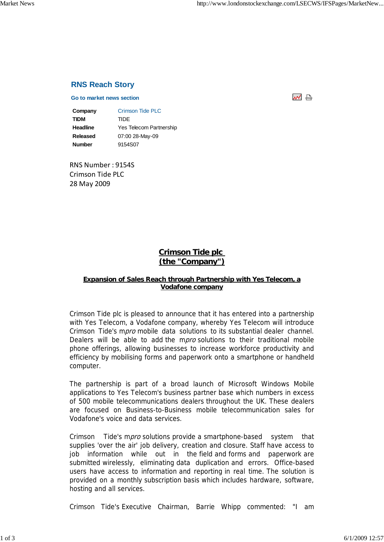### **RNS Reach Story**

#### **Go to market news section**

**Company** Crimson Tide PLC **TIDM** TIDE **Headline** Yes Telecom Partnership **Released** 07:00 28-May-09 **Number** 9154S07

RNS Number : 9154S Crimson Tide PLC 28 May 2009

ᆋ ビ

# **Crimson Tide plc (the "Company")**

#### **Expansion of Sales Reach through Partnership with Yes Telecom, a Vodafone company**

Crimson Tide plc is pleased to announce that it has entered into a partnership with Yes Telecom, a Vodafone company, whereby Yes Telecom will introduce Crimson Tide's mpro mobile data solutions to its substantial dealer channel. Dealers will be able to add the mpro solutions to their traditional mobile phone offerings, allowing businesses to increase workforce productivity and efficiency by mobilising forms and paperwork onto a smartphone or handheld computer.

The partnership is part of a broad launch of Microsoft Windows Mobile applications to Yes Telecom's business partner base which numbers in excess of 500 mobile telecommunications dealers throughout the UK. These dealers are focused on Business-to-Business mobile telecommunication sales for Vodafone's voice and data services.

Crimson Tide's mpro solutions provide a smartphone-based system that supplies 'over the air' job delivery, creation and closure. Staff have access to job information while out in the field and forms and paperwork are submitted wirelessly, eliminating data duplication and errors. Office-based users have access to information and reporting in real time. The solution is provided on a monthly subscription basis which includes hardware, software, hosting and all services.

Crimson Tide's Executive Chairman, Barrie Whipp commented: "I am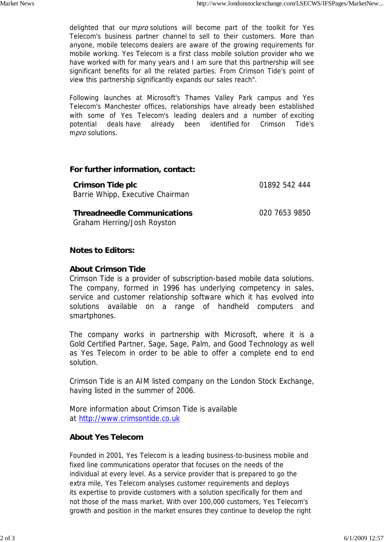delighted that our mpro solutions will become part of the toolkit for Yes Telecom's business partner channel to sell to their customers. More than anyone, mobile telecoms dealers are aware of the growing requirements for mobile working. Yes Telecom is a first class mobile solution provider who we have worked with for many years and I am sure that this partnership will see significant benefits for all the related parties. From Crimson Tide's point of view this partnership significantly expands our sales reach".

Following launches at Microsoft's Thames Valley Park campus and Yes Telecom's Manchester offices, relationships have already been established with some of Yes Telecom's leading dealers and a number of exciting potential deals have already been identified for Crimson Tide's mpro solutions.

### **For further information, contact:**

| <b>Crimson Tide plc</b><br>Barrie Whipp, Executive Chairman       | 01892 542 444 |
|-------------------------------------------------------------------|---------------|
| <b>Threadneedle Communications</b><br>Graham Herring/Josh Royston | 020 7653 9850 |

# **Notes to Editors:**

# **About Crimson Tide**

Crimson Tide is a provider of subscription-based mobile data solutions. The company, formed in 1996 has underlying competency in sales, service and customer relationship software which it has evolved into solutions available on a range of handheld computers and smartphones.

The company works in partnership with Microsoft, where it is a Gold Certified Partner, Sage, Sage, Palm, and Good Technology as well as Yes Telecom in order to be able to offer a complete end to end solution.

Crimson Tide is an AIM listed company on the London Stock Exchange, having listed in the summer of 2006.

More information about Crimson Tide is available at http://www.crimsontide.co.uk

# **About Yes Telecom**

Founded in 2001, Yes Telecom is a leading business-to-business mobile and fixed line communications operator that focuses on the needs of the individual at every level. As a service provider that is prepared to go the extra mile, Yes Telecom analyses customer requirements and deploys its expertise to provide customers with a solution specifically for them and not those of the mass market. With over 100,000 customers, Yes Telecom's growth and position in the market ensures they continue to develop the right